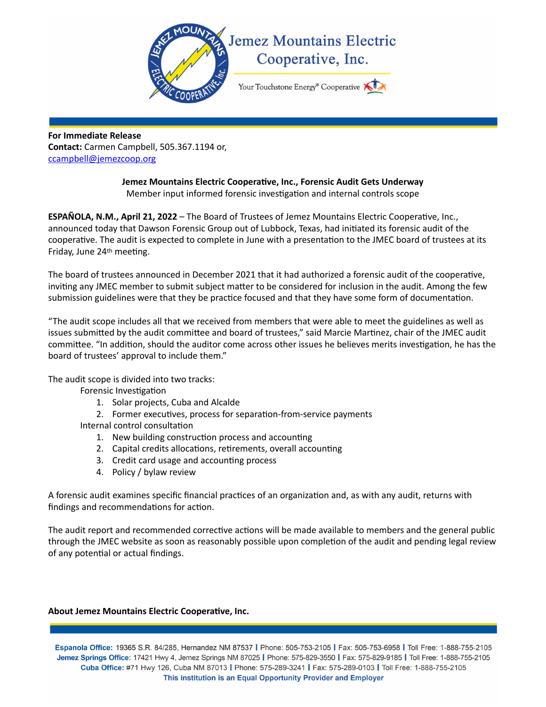

**For Immediate Release Contact:** Carmen Campbell, 505.367.1194 or, [ccampbell@jemezcoop.org](mailto:ccampbell@jemezcoop.org)

## **Jemez Mountains Electric Cooperative, Inc., Forensic Audit Gets Underway**  Member input informed forensic investigation and internal controls scope

**ESPAÑOLA, N.M., April 21, 2022** – The Board of Trustees of Jemez Mountains Electric Cooperative, Inc., announced today that Dawson Forensic Group out of Lubbock, Texas, had initiated its forensic audit of the cooperative. The audit is expected to complete in June with a presentation to the JMEC board of trustees at its Friday, June 24th meeting.

The board of trustees announced in December 2021 that it had authorized a forensic audit of the cooperative, inviting any JMEC member to submit subject matter to be considered for inclusion in the audit. Among the few submission guidelines were that they be practice focused and that they have some form of documentation.

"The audit scope includes all that we received from members that were able to meet the guidelines as well as issues submitted by the audit committee and board of trustees," said Marcie Martinez, chair of the JMEC audit committee. "In addition, should the auditor come across other issues he believes merits investigation, he has the board of trustees' approval to include them."

The audit scope is divided into two tracks:

Forensic Investigation

- 1. Solar projects, Cuba and Alcalde
- 2. Former executives, process for separation-from-service payments

Internal control consultation

- 1. New building construction process and accounting
- 2. Capital credits allocations, retirements, overall accounting
- 3. Credit card usage and accounting process
- 4. Policy / bylaw review

A forensic audit examines specific financial practices of an organization and, as with any audit, returns with findings and recommendations for action.

The audit report and recommended corrective actions will be made available to members and the general public through the JMEC website as soon as reasonably possible upon completion of the audit and pending legal review of any potential or actual findings.

## **About Jemez Mountains Electric Cooperative, Inc.**

Espanola Office: 19365 S.R. 84/285, Hernandez NM 87537 | Phone: 505-753-2105 | Fax: 505-753-6958 | Toll Free: 1-888-755-2105 Jemez Springs Office: 17421 Hwy 4, Jemez Springs NM 87025 | Phone: 575-829-3550 | Fax: 575-829-9185 | Toll Free: 1-888-755-2105 Cuba Office: #71 Hwy 126, Cuba NM 87013 | Phone: 575-289-3241 | Fax: 575-289-0103 | Toll Free: 1-888-755-2105 This institution is an Equal Opportunity Provider and Employer